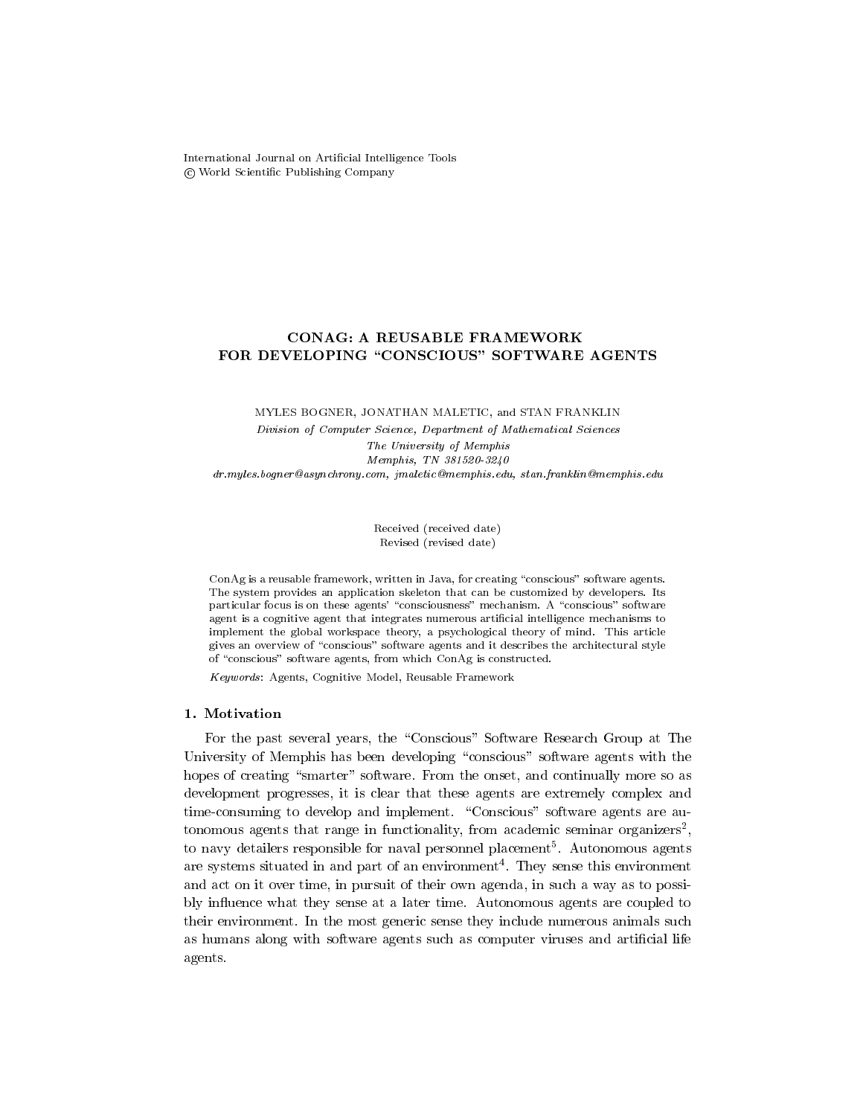International Journal on Articial Intelligence Tools cfWorld Scientic Publishing Company

# FOR DEVELOPING "CONSCIOUS" SOFTWARE AGENTS

# MYLES BOGNER, JONATHAN MALETIC, and STAN FRANKLIN Division of Computer Science, Department of Mathematical Sciences The University of Memphis

Memphis, TN 381520-3240 dr.myles.bogner@asynchrony.com, jmaletic@memphis.edu, stan.franklin@memphis.edu

> Received (received date) Revised (revised date)

ConAg is a reusable framework, written in Java, for creating "conscious" software agents. The system provides an application skeleton that can be customized by developers. Its particular focus is on these agents' "consciousness" mechanism. A "conscious" software agent is a cognitive agent that integrates numerous articial intelligence mechanisms to implement the global workspace theory, a psychological theory of mind. This article gives an overview of "conscious" software agents and it describes the architectural style of "conscious" software agents, from which  $ConAg$  is constructed.

Keywords: Agents, Cognitive Model, Reusable Framework

# 1. Motivation

For the past several years, the "Conscious" Software Research Group at The University of Memphis has been developing "conscious" software agents with the hopes of creating "smarter" software. From the onset, and continually more so as development progresses, it is clear that these agents are extremely complex and time-consuming to develop and implement. "Conscious" software agents are autonomous agents that range in functionality, from academic seminar organizers-, to navy detailers responsible for naval personnel placement5 . Autonomous agents are systems situated in and part of an environment . They sense this environment and act on it over time, in pursuit of their own agenda, in such a way as to possibly in
uence what they sense at a later time. Autonomous agents are coupled to their environment. In the most generic sense they include numerous animals such as humans along with software agents such as computer viruses and articial life agents.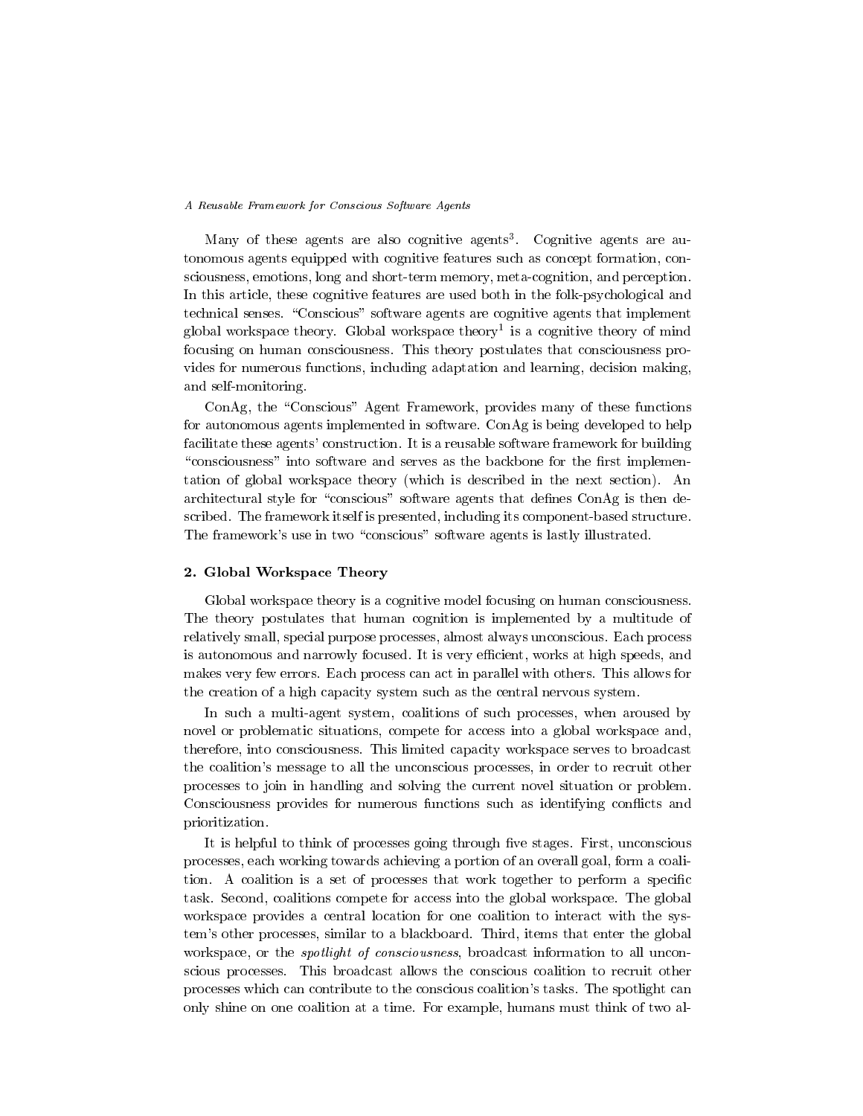Many of these agents are also cognitive agents3 . Cognitive agents are autonomous agents equipped with cognitive features such as concept formation, consciousness, emotions, long and short-term memory, meta-cognition, and perception. In this article, these cognitive features are used both in the folk-psychological and technical senses. "Conscious" software agents are cognitive agents that implement global workspace theory. Global workspace theory is a cognitive theory of mind focusing on human consciousness. This theory postulates that consciousness provides for numerous functions, including adaptation and learning, decision making, and self-monitoring.

ConAg, the "Conscious" Agent Framework, provides many of these functions for autonomous agents implemented in software. ConAg is being developed to help facilitate these agents' construction. It is a reusable software framework for building "consciousness" into software and serves as the backbone for the first implementation of global workspace theory (which is described in the next section). An architectural style for "conscious" software agents that defines  $ConAg$  is then described. The framework itself is presented, including its component-based structure. The framework's use in two "conscious" software agents is lastly illustrated.

#### 2. Global Workspace Theory

Global workspace theory is a cognitive model focusing on human consciousness. The theory postulates that human cognition is implemented by a multitude of relatively small, special purpose processes, almost always unconscious. Each process is autonomous and narrowly focused. It is very efficient, works at high speeds, and makes very few errors. Each process can act in parallel with others. This allows for the creation of a high capacity system such as the central nervous system.

In such a multi-agent system, coalitions of such processes, when aroused by novel or problematic situations, compete for access into a global workspace and, therefore, into consciousness. This limited capacity workspace serves to broadcast the coalition's message to all the unconscious processes, in order to recruit other processes to join in handling and solving the current novel situation or problem. Consciousness provides for numerous functions such as identifying conflicts and prioritization.

It is helpful to think of processes going through five stages. First, unconscious processes, each working towards achieving a portion of an overall goal, form a coalition. A coalition is a set of processes that work together to perform a specific task. Second, coalitions compete for access into the global workspace. The global workspace provides a central location for one coalition to interact with the system's other processes, similar to a blackboard. Third, items that enter the global workspace, or the *spotlight of consciousness*, broadcast information to all unconscious processes. This broadcast allows the conscious coalition to recruit other processes which can contribute to the conscious coalition's tasks. The spotlight can only shine on one coalition at a time. For example, humans must think of two al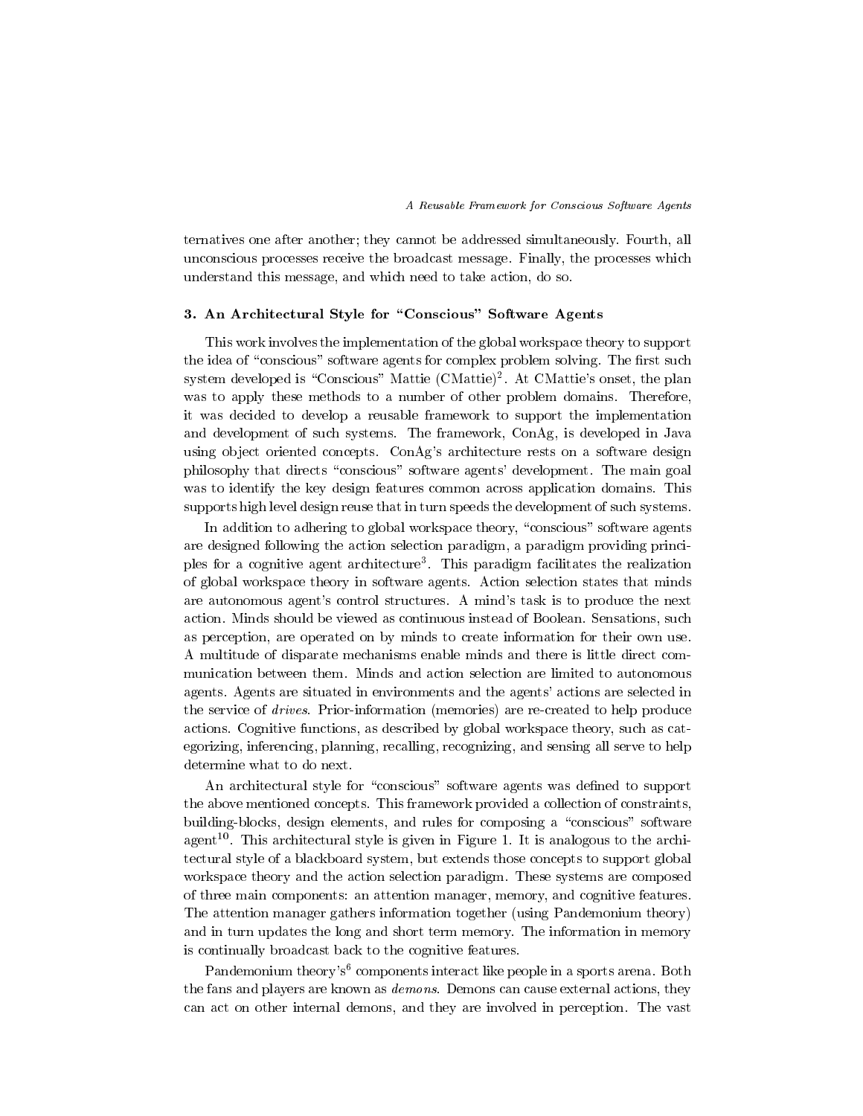ternatives one after another; they cannot be addressed simultaneously. Fourth, all unconscious processes receive the broadcast message. Finally, the processes which understand this message, and which need to take action, do so.

## 3. An Architectural Style for "Conscious" Software Agents

This work involves the implementation of the global workspace theory to support the idea of "conscious" software agents for complex problem solving. The first such system developed is "Conscious" Mattie (CMattie)<sup>2</sup>. At CMattie's onset, the plan was to apply these methods to a number of other problem domains. Therefore, it was decided to develop a reusable framework to support the implementation and development of such systems. The framework, ConAg, is developed in Java using object oriented concepts. ConAg's architecture rests on a software design philosophy that directs "conscious" software agents' development. The main goal was to identify the key design features common across application domains. This supports high level design reuse that in turn speeds the development of such systems.

In addition to adhering to global workspace theory, "conscious" software agents are designed following the action selection paradigm, a paradigm providing principles for a cognitive agent architecture . This paradigm facilitates the realization of global workspace theory in software agents. Action selection states that minds are autonomous agent's control structures. A mind's task is to produce the next action. Minds should be viewed as continuous instead of Boolean. Sensations, such as perception, are operated on by minds to create information for their own use. A multitude of disparate mechanisms enable minds and there is little direct com munication between them. Minds and action selection are limited to autonomous agents. Agents are situated in environments and the agents' actions are selected in the service of drives. Prior-information (memories) are re-created to help produce actions. Cognitive functions, as described by global workspace theory, such as categorizing, inferencing, planning, recalling, recognizing, and sensing all serve to help determine what to do next.

An architectural style for "conscious" software agents was defined to support the above mentioned concepts. This framework provided a collection of constraints, building-blocks, design elements, and rules for composing a "conscious" software agent<sup>--</sup>. This architectural style is given in Figure 1. It is analogous to the architectural style of a blackboard system, but extends those concepts to support global workspace theory and the action selection paradigm. These systems are composed of three main components: an attention manager, memory, and cognitive features. The attention manager gathers information together (using Pandemonium theory) and in turn updates the long and short term memory. The information in memory is continually broadcast back to the cognitive features.

Pandemonium theory's<sup>6</sup> components interact like people in a sports arena. Both the fans and players are known as demons. Demons can cause external actions, they can act on other internal demons, and they are involved in perception. The vast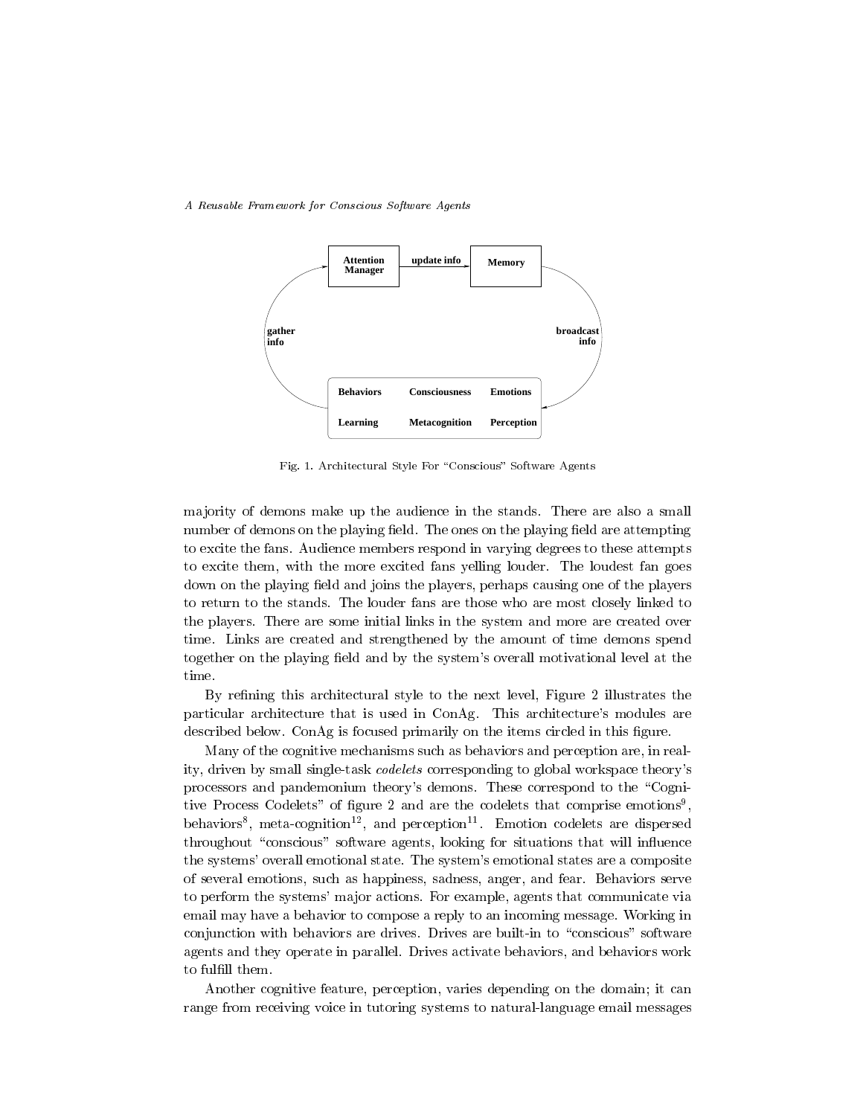

Fig. 1. Architectural Style For \Conscious" Software Agents

ma jority of demons make up the audience in the stands. There are also a small number of demons on the playing field. The ones on the playing field are attempting to excite the fans. Audience members respond in varying degrees to these attempts to excite them, with the more excited fans yelling louder. The loudest fan goes down on the playing field and joins the players, perhaps causing one of the players to return to the stands. The louder fans are those who are most closely linked to the players. There are some initial links in the system and more are created over time. Links are created and strengthened by the amount of time demons spend together on the playing field and by the system's overall motivational level at the time.

By rening this architectural style to the next level, Figure 2 illustrates the particular architecture that is used in ConAg. This architecture's modules are described below. ConAg is focused primarily on the items circled in this figure.

Many of the cognitive mechanisms such as behaviors and perception are, in reality, driven by small single-task codelets corresponding to global workspace theory's processors and pandemonium theory's demons. These correspond to the \Cognitive Process Codelets" of figure 2 and are the codelets that comprise emotions<sup>9</sup> , and the contract of the contract of the contract of the contract of the contract of the contract of the contract of the contract of the contract of the contract of the contract of the contract of the contract of the con penaviors", meta-cognition"", and perception"". Emotion codelets are dispersed throughout "conscious" software agents, looking for situations that will influence the systems' overall emotional state. The system's emotional states are a composite of several emotions, such as happiness, sadness, anger, and fear. Behaviors serve to perform the systems' ma jor actions. For example, agents that communicate via email may have a behavior to compose a reply to an incoming message. Working in conjunction with behaviors are drives. Drives are built-in to "conscious" software agents and they operate in parallel. Drives activate behaviors, and behaviors work to fulfill them.

Another cognitive feature, perception, varies depending on the domain; it can range from receiving voice in tutoring systems to natural-language email messages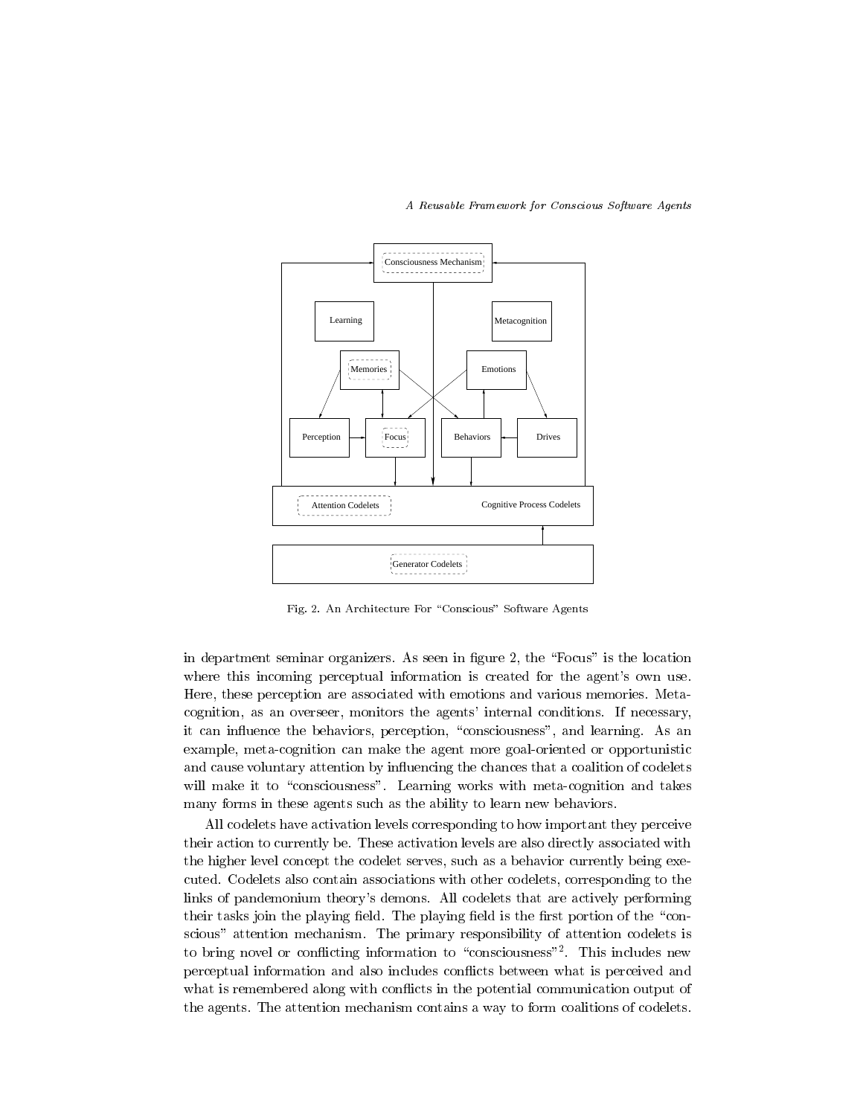

Fig. 2. An Architecture For "Conscious" Software Agents

in department seminar organizers. As seen in figure 2, the "Focus" is the location where this incoming perceptual information is created for the agent's own use. Here, these perception are associated with emotions and various memories. Metacognition, as an overseer, monitors the agents' internal conditions. If necessary, it can influence the behaviors, perception, "consciousness", and learning. As an example, meta-cognition can make the agent more goal-oriented or opportunistic and cause voluntary attention by in
uencing the chances that a coalition of codelets will make it to "consciousness". Learning works with meta-cognition and takes many forms in these agents such as the ability to learn new behaviors.

All codelets have activation levels corresponding to how important they perceive their action to currently be. These activation levels are also directly associated with the higher level concept the codelet serves, such as a behavior currently being executed. Codelets also contain associations with other codelets, corresponding to the links of pandemonium theory's demons. All codelets that are actively performing their tasks join the playing field. The playing field is the first portion of the "conscious" attention mechanism. The primary responsibility of attention codelets is to bring novel or confircting information to consciousness =. This includes new perceptual information and also includes con
icts between what is perceived and what is remembered along with conflicts in the potential communication output of the agents. The attention mechanism contains a way to form coalitions of codelets.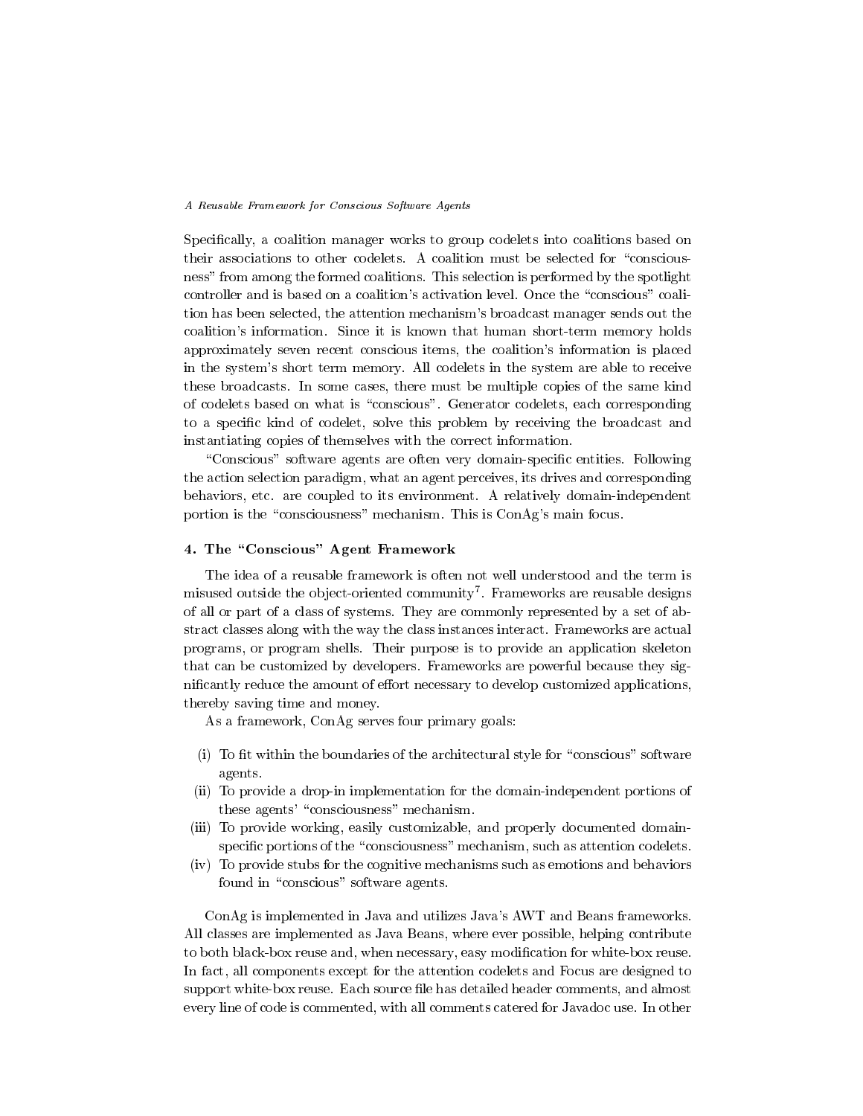Specifically, a coalition manager works to group codelets into coalitions based on their associations to other codelets. A coalition must be selected for "consciousness" from among the formed coalitions. This selection is performed by the spotlight controller and is based on a coalition's activation level. Once the "conscious" coalition has been selected, the attention mechanism's broadcast manager sends out the coalition's information. Since it is known that human short-term memory holds approximately seven recent conscious items, the coalition's information isplaced in the system's short term memory. All codelets in the system are able to receive these broadcasts. In some cases, there must be multiple copies of the same kind of codelets based on what is \conscious". Generator codelets, each corresponding to a specific kind of codelet, solve this problem by receiving the broadcast and instantiating copies of themselves with the correct information.

"Conscious" software agents are often very domain-specific entities. Following the action selection paradigm, what an agent perceives, its drives and corresponding behaviors, etc. are coupled to its environment. A relatively domain-independent portion is the "consciousness" mechanism. This is ConAg's main focus.

# 4. The "Conscious" Agent Framework

The idea of a reusable framework is often not well understood and the term is misused outside the ob ject-oriented community<sup>7</sup> . Frameworks are reusable designs of all or part of a class of systems. They are commonly represented by a set of abstract classes along with the way the class instances interact. Frameworks are actual programs, or program shells. Their purpose is to provide an application skeleton that can be customized by developers. Frameworks are powerful because they significantly reduce the amount of effort necessary to develop customized applications, thereby saving time and money.

As a framework, ConAg serves four primary goals:

- $(i)$  To fit within the boundaries of the architectural style for "conscious" software agents.
- (ii) To provide a drop-in implementation for the domain-independent portions of these agents' "consciousness" mechanism.
- (iii) To provide working, easily customizable, and properly documented domainspecific portions of the "consciousness" mechanism, such as attention codelets.
- (iv) To provide stubs for the cognitive mechanisms such as emotions and behaviors found in "conscious" software agents.

ConAg is implemented in Java and utilizes Java's AWT and Beans frameworks. All classes are implemented as Java Beans, where ever possible, helping contribute to both black-box reuse and, when necessary, easy modification for white-box reuse. In fact, all components except for the attention codelets and Focus are designed to support white-box reuse. Each source file has detailed header comments, and almost every line of code is commented, with all comments catered for Javadoc use. In other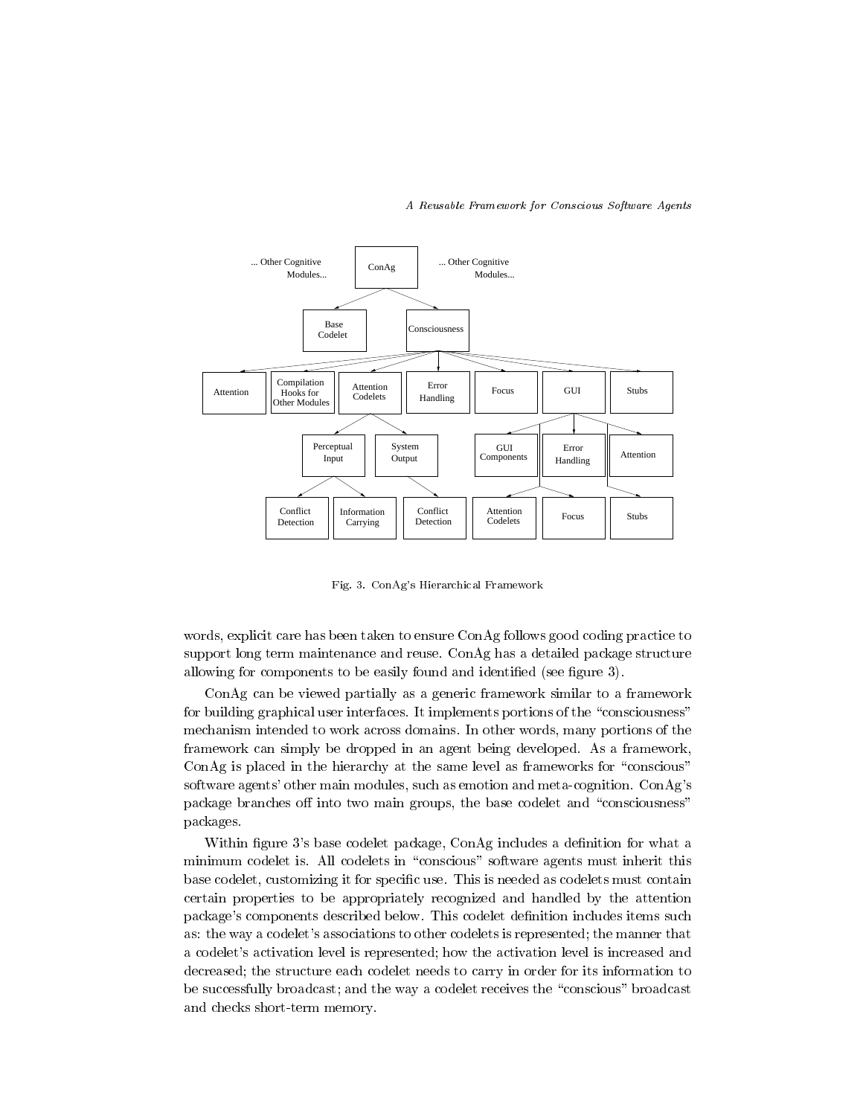

Fig. 3. ConAg's Hierarchical Framework

words, explicit care has been taken to ensure ConAg follows good coding practice to support long term maintenance and reuse. ConAg has a detailed package structure allowing for components to be easily found and identified (see figure 3).

ConAg can be viewed partially as a generic framework similar to a framework for building graphical user interfaces. It implements portions of the "consciousness" mechanism intended to work across domains. In other words, many portions of the framework can simply be dropped in an agent being developed. As a framework, ConAg is placed in the hierarchy at the same level as frameworks for "conscious" software agents' other main modules, such as emotion and meta-cognition. ConAg's package branches off into two main groups, the base codelet and "consciousness" packages.

Within figure 3's base codelet package, ConAg includes a definition for what a minimum codelet is. All codelets in "conscious" software agents must inherit this base codelet, customizing it for specic use. This is needed as codelets must contain certain properties to be appropriately recognized and handled by the attention package's components described below. This codelet definition includes items such as: the way a codelet's associations to other codelets is represented; the manner that a codelet's activation level is represented; how the activation level is increased and decreased; the structure each codelet needs to carry in order for its information to be successfully broadcast; and the way a codelet receives the \conscious" broadcast and checks short-term memory.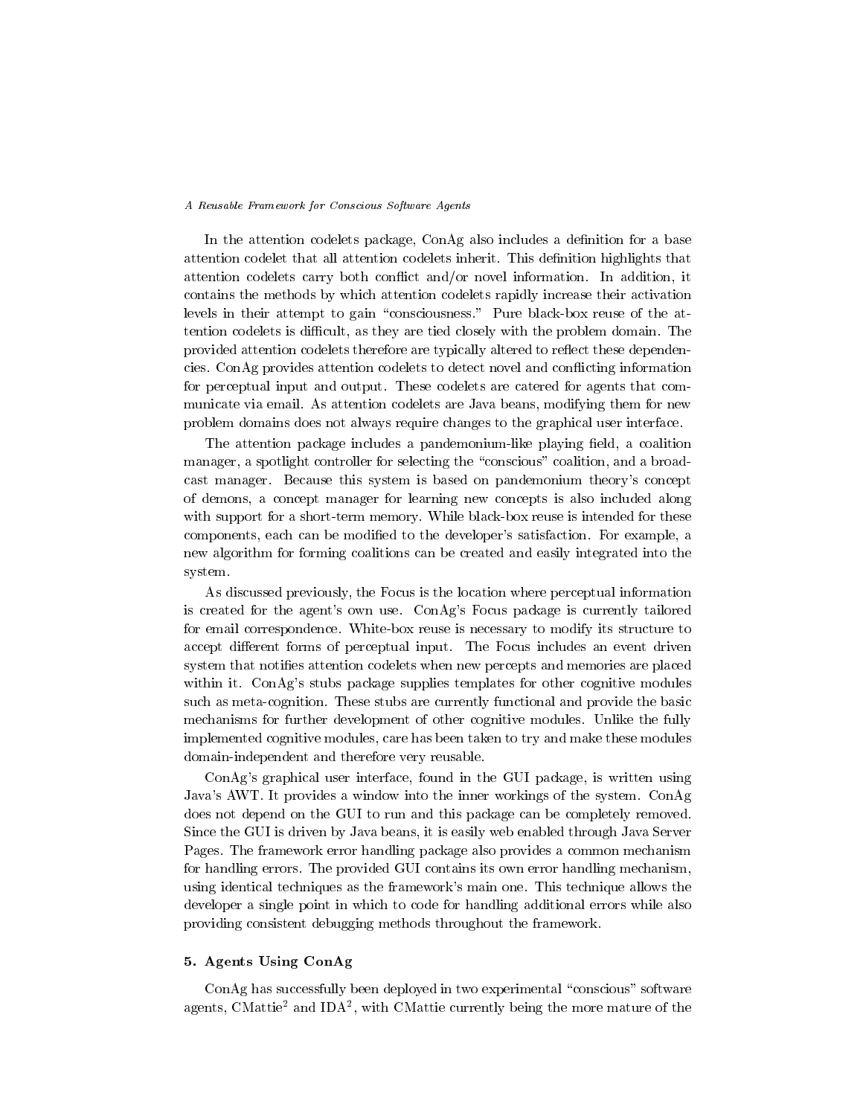In the attention codelets package, ConAg also includes a definition for a base attention codelet that all attention codelets inherit. This denition highlights that attention codelets carry both con
ict and/or novel information. In addition, it contains the methods by which attention codelets rapidly increase their activation levels in their attempt to gain "consciousness." Pure black-box reuse of the attention codelets is difficult, as they are tied closely with the problem domain. The provided attention codelets therefore are typically altered to reflect these dependencies. ConAg provides attention codelets to detect novel and con
icting information for perceptual input and output. These codelets are catered for agents that com municate via email. As attention codelets are Java beans, modifying them for new problem domains does not always require changes to the graphical user interface.

The attention package includes a pandemonium-like playing field, a coalition manager, a spotlight controller for selecting the "conscious" coalition, and a broadcast manager. Because this system is based on pandemonium theory's concept of demons, a concept manager for learning new concepts is also included along with support for a short-term memory. While black-box reuse is intended for these components, each can be modied to the developer's satisfaction. For example, a new algorithm for forming coalitions can be created and easily integrated into the system.

As discussed previously, the Focus is the location where perceptual information is created for the agent's own use. ConAg's Focus package is currently tailored for email correspondence. White-box reuse is necessary to modify its structure to accept different forms of perceptual input. The Focus includes an event driven system that noties attention codelets when new percepts and memories are placed within it. ConAg's stubs package supplies templates for other cognitive modules such as meta-cognition. These stubs are currently functional and provide the basic mechanisms for further development of other cognitive modules. Unlike the fully implemented cognitive modules, care has been taken to try and make these modules domain-independent and therefore very reusable.

ConAg's graphical user interface, found in the GUI package, is written using Java's AWT. It provides a window into the inner workings of the system. ConAg does not depend on the GUI to run and this package can be completely removed. Since the GUI is driven by Java beans, it is easily web enabled through Java Server Pages. The framework error handling package also provides a common mechanism for handling errors. The provided GUI contains its own error handling mechanism, using identical techniques as the framework's main one. This technique allows the developer a single point in which to code for handling additional errors while also providing consistent debugging methods throughout the framework.

# 5. Agents Using ConAg

ConAg has successfully been deployed in two experimental "conscious" software agents, Civiatue and IDA-, with Civiatue currently being the more mature of the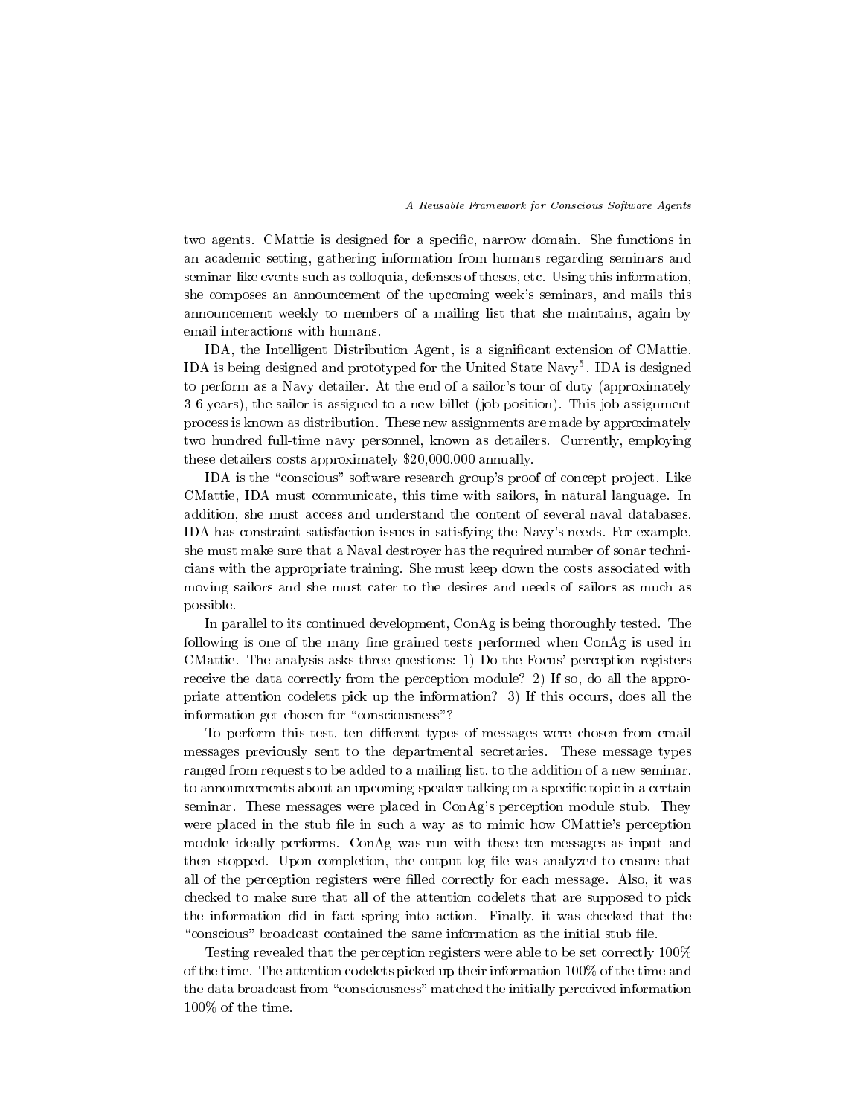two agents. CMattie is designed for a specic, narrow domain. She functions in an academic setting, gathering information from humans regarding seminars and seminar-like events such as colloquia, defenses of theses, etc. Using this information, she composes an announcement of the upcoming week's seminars, and mails this announcement weekly to members of a mailing list that she maintains, again by email interactions with humans.

IDA, the Intelligent Distribution Agent, is a significant extension of CMattie. IDA is being designed and prototyped for the United State Navy5 . IDA is designed to perform as a Navy detailer. At the end of a sailor's tour of duty (approximately 3-6 years), the sailor is assigned to a new billet (job position). This job assignment process is known as distribution. These new assignments are made by approximately two hundred full-time navy personnel, known as detailers. Currently, employing these detailers costs approximately \$20,000,000 annually.

IDA is the "conscious" software research group's proof of concept project. Like CMattie, IDA must communicate, this time with sailors, in natural language. In addition, she must access and understand the content of several naval databases. IDA has constraint satisfaction issues in satisfying the Navy's needs. For example, she must make sure that a Naval destroyer has the required number of sonar technicians with the appropriate training. She must keep down the costs associated with moving sailors and she must cater to the desires and needs of sailors as much as possible.

In parallel to its continued development, ConAg is being thoroughly tested. The following is one of the many fine grained tests performed when ConAg is used in CMattie. The analysis asks three questions: 1) Do the Focus' perception registers receive the data correctly from the perception module? 2) If so, do all the appropriate attention codelets pick up the information? 3) If this occurs, does all the information get chosen for "consciousness"?

To perform this test, ten different types of messages were chosen from email messages previously sent to the departmental secretaries. These message types ranged from requests to be added to a mailing list, to the addition of a new seminar, to announcements about an upcoming speaker talking on a specic topic in a certain seminar. These messages were placed in ConAg's perception module stub. They were placed in the stub file in such a way as to mimic how CMattie's perception module ideally performs. ConAg was run with these ten messages as input and then stopped. Upon completion, the output log file was analyzed to ensure that all of the perception registers were lled correctly for each message. Also, it was checked to make sure that all of the attention codelets that are supposed to pick the information did in fact spring into action. Finally, it was checked that the "conscious" broadcast contained the same information as the initial stub file.

Testing revealed that the perception registers were able to be set correctly 100% of the time. The attention codelets picked up their information 100% of the time and the data broadcast from "consciousness" matched the initially perceived information 100% of the time.